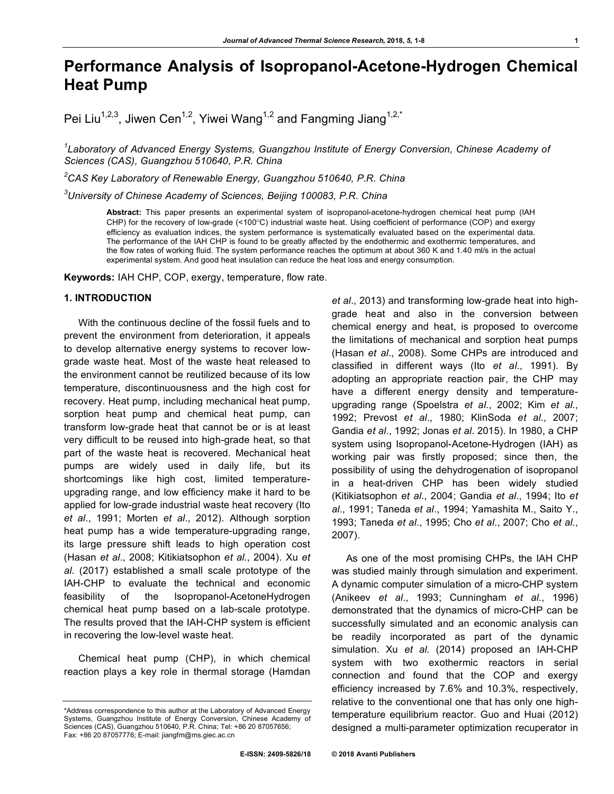# **Performance Analysis of Isopropanol-Acetone-Hydrogen Chemical Heat Pump**

Pei Liu<sup>1,2,3</sup>, Jiwen Cen<sup>1,2</sup>, Yiwei Wang<sup>1,2</sup> and Fangming Jiang<sup>1,2,\*</sup>

<sup>1</sup> Laboratory of Advanced Energy Systems, Guangzhou Institute of Energy Conversion, Chinese Academy of *Sciences (CAS), Guangzhou 510640, P.R. China*

*2 CAS Key Laboratory of Renewable Energy, Guangzhou 510640, P.R. China*

*3 University of Chinese Academy of Sciences, Beijing 100083, P.R. China*

**Abstract:** This paper presents an experimental system of isopropanol-acetone-hydrogen chemical heat pump (IAH CHP) for the recovery of low-grade (<100°C) industrial waste heat. Using coefficient of performance (COP) and exergy efficiency as evaluation indices, the system performance is systematically evaluated based on the experimental data. The performance of the IAH CHP is found to be greatly affected by the endothermic and exothermic temperatures, and the flow rates of working fluid. The system performance reaches the optimum at about 360 K and 1.40 ml/s in the actual experimental system. And good heat insulation can reduce the heat loss and energy consumption.

**Keywords:** IAH CHP, COP, exergy, temperature, flow rate.

# **1. INTRODUCTION**

With the continuous decline of the fossil fuels and to prevent the environment from deterioration, it appeals to develop alternative energy systems to recover lowgrade waste heat. Most of the waste heat released to the environment cannot be reutilized because of its low temperature, discontinuousness and the high cost for recovery. Heat pump, including mechanical heat pump, sorption heat pump and chemical heat pump, can transform low-grade heat that cannot be or is at least very difficult to be reused into high-grade heat, so that part of the waste heat is recovered. Mechanical heat pumps are widely used in daily life, but its shortcomings like high cost, limited temperatureupgrading range, and low efficiency make it hard to be applied for low-grade industrial waste heat recovery (Ito *et al*., 1991; Morten *et al*., 2012). Although sorption heat pump has a wide temperature-upgrading range, its large pressure shift leads to high operation cost (Hasan *et al*., 2008; Kitikiatsophon *et al*., 2004). Xu *et al*. (2017) established a small scale prototype of the IAH-CHP to evaluate the technical and economic feasibility of the Isopropanol-AcetoneHydrogen chemical heat pump based on a lab-scale prototype. The results proved that the IAH-CHP system is efficient in recovering the low-level waste heat.

Chemical heat pump (CHP), in which chemical reaction plays a key role in thermal storage (Hamdan

*et al*., 2013) and transforming low-grade heat into highgrade heat and also in the conversion between chemical energy and heat, is proposed to overcome the limitations of mechanical and sorption heat pumps (Hasan *et al*., 2008). Some CHPs are introduced and classified in different ways (Ito *et al*., 1991). By adopting an appropriate reaction pair, the CHP may have a different energy density and temperatureupgrading range (Spoelstra *et al*., 2002; Kim *et al*., 1992; Prevost *et al*., 1980; KlinSoda *et al*., 2007; Gandia *et al*., 1992; Jonas *et al*. 2015). In 1980, a CHP system using Isopropanol-Acetone-Hydrogen (IAH) as working pair was firstly proposed; since then, the possibility of using the dehydrogenation of isopropanol in a heat-driven CHP has been widely studied (Kitikiatsophon *et al*., 2004; Gandia *et al*., 1994; Ito *et al*., 1991; Taneda *et al*., 1994; Yamashita M., Saito Y., 1993; Taneda *et al*., 1995; Cho *et al*., 2007; Cho *et al*., 2007).

As one of the most promising CHPs, the IAH CHP was studied mainly through simulation and experiment. A dynamic computer simulation of a micro-CHP system (Anikeev *et al*., 1993; Cunningham *et al*., 1996) demonstrated that the dynamics of micro-CHP can be successfully simulated and an economic analysis can be readily incorporated as part of the dynamic simulation. Xu *et al*. (2014) proposed an IAH-CHP system with two exothermic reactors in serial connection and found that the COP and exergy efficiency increased by 7.6% and 10.3%, respectively, relative to the conventional one that has only one hightemperature equilibrium reactor. Guo and Huai (2012) designed a multi-parameter optimization recuperator in

<sup>\*</sup>Address correspondence to this author at the Laboratory of Advanced Energy Systems, Guangzhou Institute of Energy Conversion, Chinese Academy of Sciences (CAS), Guangzhou 510640, P.R. China; Tel: +86 20 87057656; Fax: +86 20 87057776; E-mail: jiangfm@ms.giec.ac.cn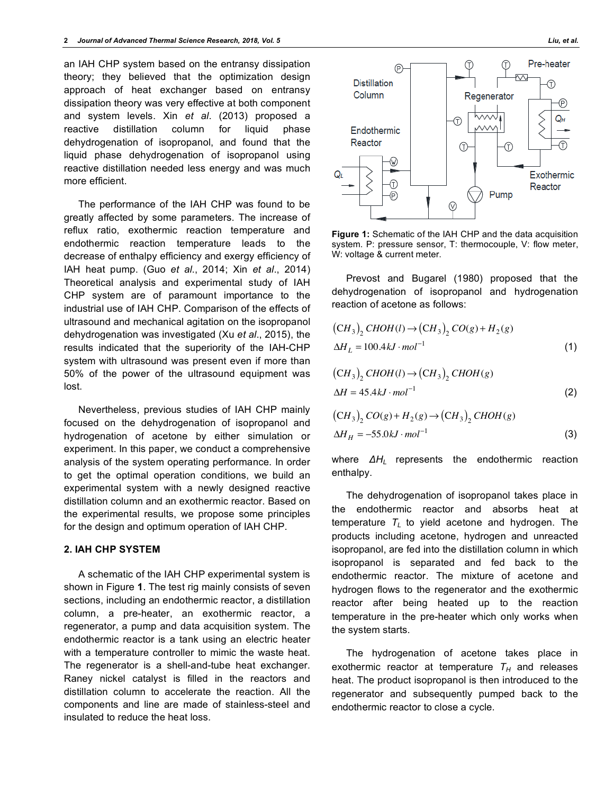an IAH CHP system based on the entransy dissipation theory; they believed that the optimization design approach of heat exchanger based on entransy dissipation theory was very effective at both component and system levels. Xin *et al*. (2013) proposed a reactive distillation column for liquid phase dehydrogenation of isopropanol, and found that the liquid phase dehydrogenation of isopropanol using reactive distillation needed less energy and was much more efficient.

The performance of the IAH CHP was found to be greatly affected by some parameters. The increase of reflux ratio, exothermic reaction temperature and endothermic reaction temperature leads to the decrease of enthalpy efficiency and exergy efficiency of IAH heat pump. (Guo *et al*., 2014; Xin *et al*., 2014) Theoretical analysis and experimental study of IAH CHP system are of paramount importance to the industrial use of IAH CHP. Comparison of the effects of ultrasound and mechanical agitation on the isopropanol dehydrogenation was investigated (Xu *et al*., 2015), the results indicated that the superiority of the IAH-CHP system with ultrasound was present even if more than 50% of the power of the ultrasound equipment was lost.

Nevertheless, previous studies of IAH CHP mainly focused on the dehydrogenation of isopropanol and hydrogenation of acetone by either simulation or experiment. In this paper, we conduct a comprehensive analysis of the system operating performance. In order to get the optimal operation conditions, we build an experimental system with a newly designed reactive distillation column and an exothermic reactor. Based on the experimental results, we propose some principles for the design and optimum operation of IAH CHP.

## **2. IAH CHP SYSTEM**

A schematic of the IAH CHP experimental system is shown in Figure **1**. The test rig mainly consists of seven sections, including an endothermic reactor, a distillation column, a pre-heater, an exothermic reactor, a regenerator, a pump and data acquisition system. The endothermic reactor is a tank using an electric heater with a temperature controller to mimic the waste heat. The regenerator is a shell-and-tube heat exchanger. Raney nickel catalyst is filled in the reactors and distillation column to accelerate the reaction. All the components and line are made of stainless-steel and insulated to reduce the heat loss.



**Figure 1:** Schematic of the IAH CHP and the data acquisition system. P: pressure sensor, T: thermocouple, V: flow meter, W: voltage & current meter.

Prevost and Bugarel (1980) proposed that the dehydrogenation of isopropanol and hydrogenation reaction of acetone as follows:

$$
(CH3)2 CHOH(l) \rightarrow (CH3)2 CO(g) + H2(g)
$$
  
\n
$$
\Delta H_L = 100.4kJ \cdot mol^{-1}
$$
 (1)

$$
(CH3)2 CHOH(l) \rightarrow (CH3)2 CHOH(g)
$$
  
\n
$$
\Delta H = 45.4kJ \cdot mol^{-1}
$$
 (2)

$$
(CH3)2 CO(g) + H2(g) \rightarrow (CH3)2 CHOH(g)
$$
  
\n
$$
\Delta HH = -55.0 kJ \cdot mol^{-1}
$$
\n(3)

where ΔH<sub>L</sub> represents the endothermic reaction enthalpy.

The dehydrogenation of isopropanol takes place in the endothermic reactor and absorbs heat at temperature  $T_L$  to yield acetone and hydrogen. The products including acetone, hydrogen and unreacted isopropanol, are fed into the distillation column in which isopropanol is separated and fed back to the endothermic reactor. The mixture of acetone and hydrogen flows to the regenerator and the exothermic reactor after being heated up to the reaction temperature in the pre-heater which only works when the system starts.

The hydrogenation of acetone takes place in exothermic reactor at temperature  $T_H$  and releases heat. The product isopropanol is then introduced to the regenerator and subsequently pumped back to the endothermic reactor to close a cycle.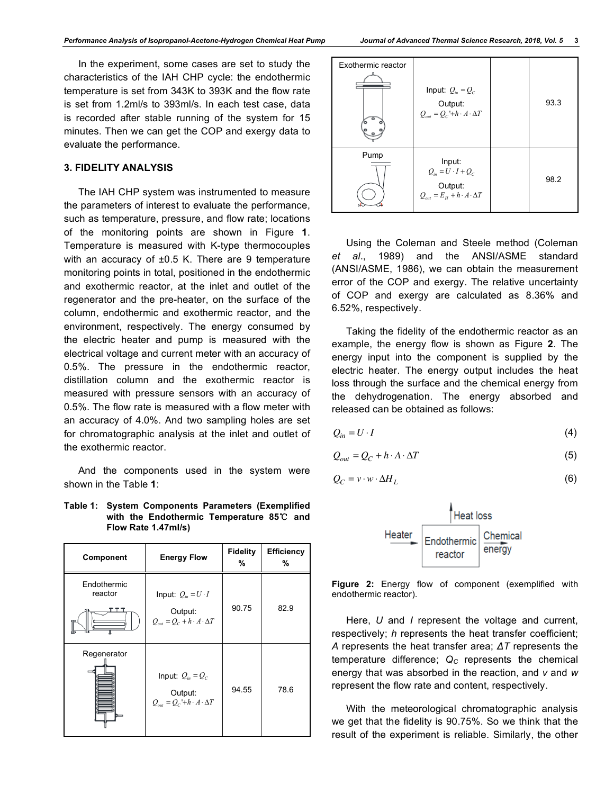## **3. FIDELITY ANALYSIS**

The IAH CHP system was instrumented to measure the parameters of interest to evaluate the performance, such as temperature, pressure, and flow rate; locations of the monitoring points are shown in Figure **1**. Temperature is measured with K-type thermocouples with an accuracy of ±0.5 K. There are 9 temperature monitoring points in total, positioned in the endothermic and exothermic reactor, at the inlet and outlet of the regenerator and the pre-heater, on the surface of the column, endothermic and exothermic reactor, and the environment, respectively. The energy consumed by the electric heater and pump is measured with the electrical voltage and current meter with an accuracy of 0.5%. The pressure in the endothermic reactor, distillation column and the exothermic reactor is measured with pressure sensors with an accuracy of 0.5%. The flow rate is measured with a flow meter with an accuracy of 4.0%. And two sampling holes are set for chromatographic analysis at the inlet and outlet of the exothermic reactor.

And the components used in the system were shown in the Table **1**:

#### **Table 1: System Components Parameters (Exemplified with the Endothermic Temperature 85**℃ **and Flow Rate 1.47ml/s)**

| Component                    | <b>Energy Flow</b>                                                                   | <b>Fidelity</b><br>% | <b>Efficiency</b><br>% |
|------------------------------|--------------------------------------------------------------------------------------|----------------------|------------------------|
| Endothermic<br>reactor<br>╥╥ | Input: $Q_{in} = U \cdot I$<br>Output:<br>$Q_{out} = Q_c + h \cdot A \cdot \Delta T$ | 90.75                | 82.9                   |
| Regenerator                  | Input: $Q_{in} = Q_c$<br>Output:<br>$Q_{out} = Q_C + h \cdot A \cdot \Delta T$       | 94.55                | 78.6                   |

| Exothermic reactor | Input: $Q_{in} = Q_c$<br>Output:<br>$Q_{out} = Q_C + h \cdot A \cdot \Delta T$                | 93.3 |
|--------------------|-----------------------------------------------------------------------------------------------|------|
| Pump               | Input:<br>$Q_{in} = U \cdot I + Q_C$<br>Output:<br>$Q_{out} = E_H + h \cdot A \cdot \Delta T$ | 98.2 |

Using the Coleman and Steele method (Coleman *et al*., 1989) and the ANSI/ASME standard (ANSI/ASME, 1986), we can obtain the measurement error of the COP and exergy. The relative uncertainty of COP and exergy are calculated as 8.36% and 6.52%, respectively.

Taking the fidelity of the endothermic reactor as an example, the energy flow is shown as Figure **2**. The energy input into the component is supplied by the electric heater. The energy output includes the heat loss through the surface and the chemical energy from the dehydrogenation. The energy absorbed and released can be obtained as follows:

$$
Q_{in} = U \cdot I \tag{4}
$$

$$
Q_{out} = Q_C + h \cdot A \cdot \Delta T \tag{5}
$$

$$
Q_C = v \cdot w \cdot \Delta H_L \tag{6}
$$



**Figure 2:** Energy flow of component (exemplified with endothermic reactor).

Here, *U* and *I* represent the voltage and current, respectively; *h* represents the heat transfer coefficient; *A* represents the heat transfer area; *ΔT* represents the temperature difference;  $Q_C$  represents the chemical energy that was absorbed in the reaction, and *v* and *w* represent the flow rate and content, respectively.

With the meteorological chromatographic analysis we get that the fidelity is 90.75%. So we think that the result of the experiment is reliable. Similarly, the other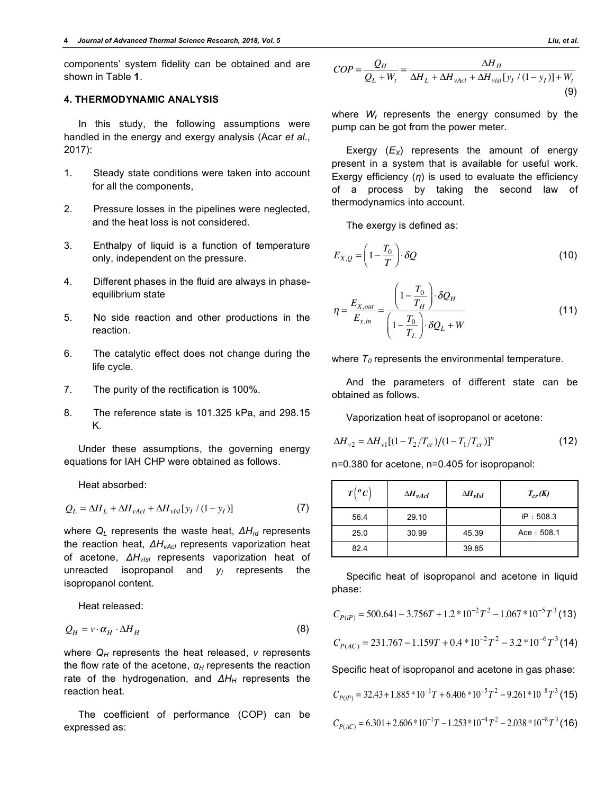components' system fidelity can be obtained and are shown in Table **1**.

## **4. THERMODYNAMIC ANALYSIS**

In this study, the following assumptions were handled in the energy and exergy analysis (Acar *et al*., 2017):

- 1. Steady state conditions were taken into account for all the components,
- 2. Pressure losses in the pipelines were neglected, and the heat loss is not considered.
- 3. Enthalpy of liquid is a function of temperature only, independent on the pressure.
- 4. Different phases in the fluid are always in phaseequilibrium state
- 5. No side reaction and other productions in the reaction.
- 6. The catalytic effect does not change during the life cycle.
- 7. The purity of the rectification is 100%.
- 8. The reference state is 101.325 kPa, and 298.15 K.

Under these assumptions, the governing energy equations for IAH CHP were obtained as follows.

Heat absorbed:

$$
Q_L = \Delta H_L + \Delta H_{\nu Acl} + \Delta H_{\nu Isl} [y_I / (1 - y_I)] \tag{7}
$$

where *Q<sub>L</sub>* represents the waste heat,  $ΔH<sub>rd</sub>$  represents the reaction heat,  $ΔH<sub>vAcl</sub>$  represents vaporization heat of acetone, ΔH<sub>vIsI</sub> represents vaporization heat of unreacted isopropanol and  $y_1$  represents the isopropanol content.

Heat released:

$$
Q_H = v \cdot \alpha_H \cdot \Delta H_H \tag{8}
$$

where  $Q_H$  represents the heat released,  $v$  represents the flow rate of the acetone,  $\alpha_H$  represents the reaction rate of the hydrogenation, and  $ΔH<sub>H</sub>$  represents the reaction heat.

The coefficient of performance (COP) can be expressed as:

$$
COP = \frac{Q_H}{Q_L + W_t} = \frac{\Delta H_H}{\Delta H_L + \Delta H_{\text{vad}} + \Delta H_{\text{visl}}[y_I / (1 - y_I)] + W_t}
$$
(9)

where  $W_t$  represents the energy consumed by the pump can be got from the power meter.

Exergy  $(E_X)$  represents the amount of energy present in a system that is available for useful work. Exergy efficiency (*η*) is used to evaluate the efficiency of a process by taking the second law of thermodynamics into account.

The exergy is defined as:

$$
E_{X,Q} = \left(1 - \frac{T_0}{T}\right) \cdot \delta Q \tag{10}
$$

$$
\eta = \frac{E_{X,out}}{E_{X,in}} = \frac{\left(1 - \frac{T_0}{T_H}\right) \cdot \delta Q_H}{\left(1 - \frac{T_0}{T_L}\right) \cdot \delta Q_L + W}
$$
(11)

where  $T_0$  represents the environmental temperature.

And the parameters of different state can be obtained as follows.

Vaporization heat of isopropanol or acetone:

$$
\Delta H_{v2} = \Delta H_{v1} [(1 - T_2/T_{cr})/(1 - T_1/T_{cr})]^n
$$
\n(12)

n=0.380 for acetone, n=0.405 for isopropanol:

| $T\left({}^oC\right)$ | $\Delta H_{\nu Acl}$ | $\Delta H_{vIsl}$ | $T_{cr}(K)$ |
|-----------------------|----------------------|-------------------|-------------|
| 56.4                  | 29.10                |                   | IP: 508.3   |
| 25.0                  | 30.99                | 45.39             | Acce: 508.1 |
| 82.4                  |                      | 39.85             |             |

Specific heat of isopropanol and acetone in liquid phase:

$$
C_{P(iP)} = 500.641 - 3.756T + 1.2 * 10^{-2}T^{2} - 1.067 * 10^{-5}T^{3}
$$
(13)

$$
C_{P(AC)} = 231.767 - 1.159T + 0.4 * 10^{-2}T^{2} - 3.2 * 10^{-6}T^{3}
$$
(14)

Specific heat of isopropanol and acetone in gas phase:

$$
C_{P(iP)} = 32.43 + 1.885 * 10^{-1}T + 6.406 * 10^{-5}T^2 - 9.261 * 10^{-8}T^3
$$
 (15)

$$
C_{P(AC)} = 6.301 + 2.606 * 10^{-1}T - 1.253 * 10^{-4}T^{2} - 2.038 * 10^{-8}T^{3}
$$
 (16)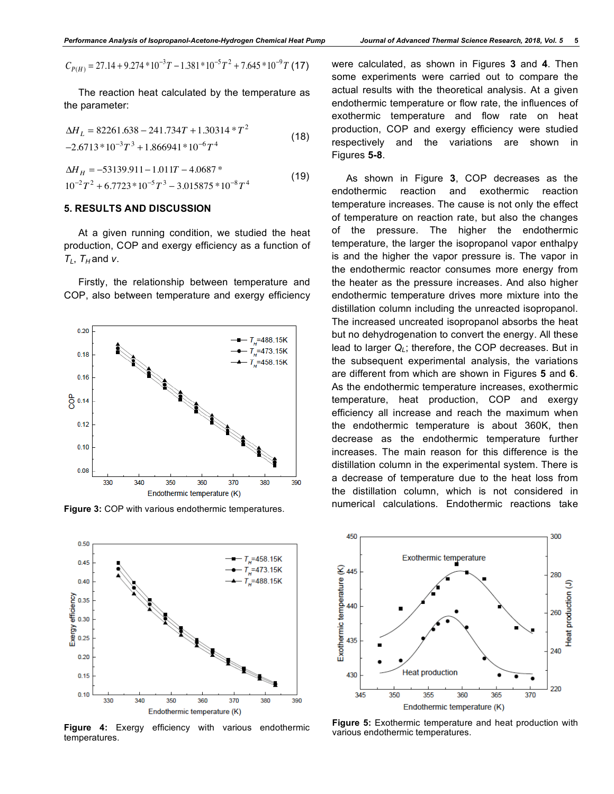$$
C_{P(H)} = 27.14 + 9.274 * 10^{-3}T - 1.381 * 10^{-5}T^2 + 7.645 * 10^{-9}T
$$
 (17)

The reaction heat calculated by the temperature as the parameter:

$$
\Delta H_L = 82261.638 - 241.734T + 1.30314 * T^2
$$
  
-2.6713 \* 10<sup>-3</sup>T<sup>3</sup> + 1.866941 \* 10<sup>-6</sup>T<sup>4</sup> (18)

$$
\Delta H_H = -53139.911 - 1.011T - 4.0687^*
$$
  

$$
10^{-2}T^2 + 6.7723^* 10^{-5}T^3 - 3.015875^* 10^{-8}T^4
$$
 (19)

#### **5. RESULTS AND DISCUSSION**

At a given running condition, we studied the heat production, COP and exergy efficiency as a function of  $T_L$ ,  $T_H$  and *v*.

Firstly, the relationship between temperature and COP, also between temperature and exergy efficiency



**Figure 3:** COP with various endothermic temperatures.



**Figure 4:** Exergy efficiency with various endothermic temperatures.

were calculated, as shown in Figures **3** and **4**. Then some experiments were carried out to compare the actual results with the theoretical analysis. At a given endothermic temperature or flow rate, the influences of exothermic temperature and flow rate on heat production, COP and exergy efficiency were studied respectively and the variations are shown in Figures **5-8**.

As shown in Figure **3**, COP decreases as the endothermic reaction and exothermic reaction temperature increases. The cause is not only the effect of temperature on reaction rate, but also the changes of the pressure. The higher the endothermic temperature, the larger the isopropanol vapor enthalpy is and the higher the vapor pressure is. The vapor in the endothermic reactor consumes more energy from the heater as the pressure increases. And also higher endothermic temperature drives more mixture into the distillation column including the unreacted isopropanol. The increased uncreated isopropanol absorbs the heat but no dehydrogenation to convert the energy. All these lead to larger  $Q_L$ ; therefore, the COP decreases. But in the subsequent experimental analysis, the variations are different from which are shown in Figures **5** and **6**. As the endothermic temperature increases, exothermic temperature, heat production, COP and exergy efficiency all increase and reach the maximum when the endothermic temperature is about 360K, then decrease as the endothermic temperature further increases. The main reason for this difference is the distillation column in the experimental system. There is a decrease of temperature due to the heat loss from the distillation column, which is not considered in numerical calculations. Endothermic reactions take



**Figure 5:** Exothermic temperature and heat production with various endothermic temperatures.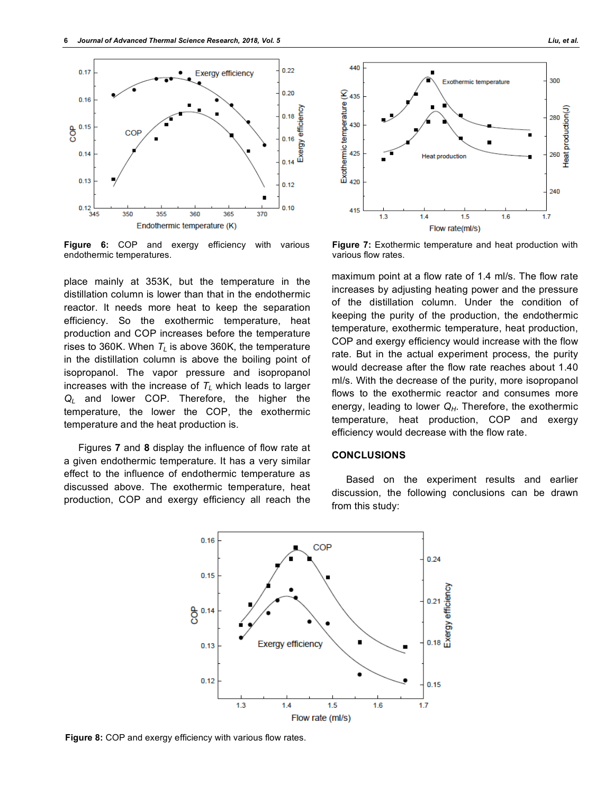

**Figure 6:** COP and exergy efficiency with various endothermic temperatures.

place mainly at 353K, but the temperature in the distillation column is lower than that in the endothermic reactor. It needs more heat to keep the separation efficiency. So the exothermic temperature, heat production and COP increases before the temperature rises to 360K. When  $T_L$  is above 360K, the temperature in the distillation column is above the boiling point of isopropanol. The vapor pressure and isopropanol increases with the increase of  $T_L$  which leads to larger *QL* and lower COP. Therefore, the higher the temperature, the lower the COP, the exothermic temperature and the heat production is.

Figures **7** and **8** display the influence of flow rate at a given endothermic temperature. It has a very similar effect to the influence of endothermic temperature as discussed above. The exothermic temperature, heat production, COP and exergy efficiency all reach the



**Figure 7:** Exothermic temperature and heat production with various flow rates.

maximum point at a flow rate of 1.4 ml/s. The flow rate increases by adjusting heating power and the pressure of the distillation column. Under the condition of keeping the purity of the production, the endothermic temperature, exothermic temperature, heat production, COP and exergy efficiency would increase with the flow rate. But in the actual experiment process, the purity would decrease after the flow rate reaches about 1.40 ml/s. With the decrease of the purity, more isopropanol flows to the exothermic reactor and consumes more energy, leading to lower  $Q_H$ . Therefore, the exothermic temperature, heat production, COP and exergy efficiency would decrease with the flow rate.

#### **CONCLUSIONS**

Based on the experiment results and earlier discussion, the following conclusions can be drawn from this study:



Figure 8: COP and exergy efficiency with various flow rates.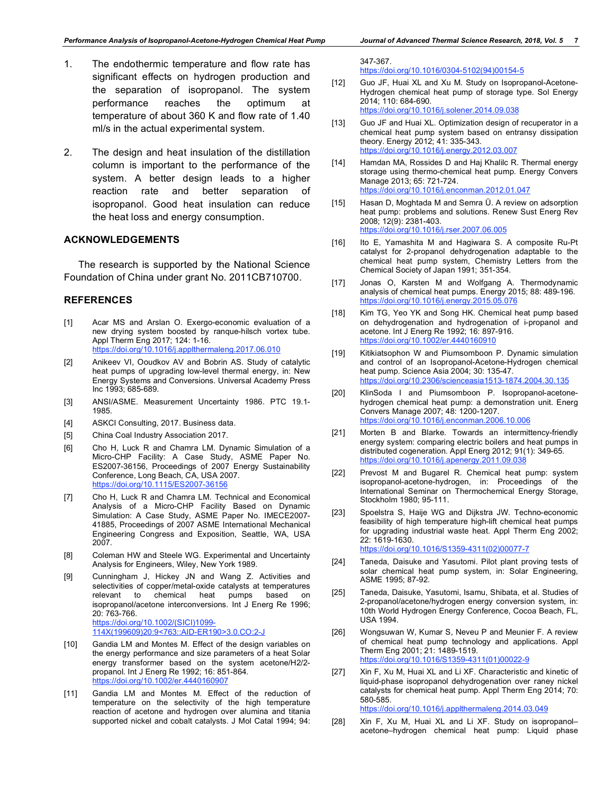- 1. The endothermic temperature and flow rate has significant effects on hydrogen production and the separation of isopropanol. The system performance reaches the optimum at temperature of about 360 K and flow rate of 1.40 ml/s in the actual experimental system.
- 2. The design and heat insulation of the distillation column is important to the performance of the system. A better design leads to a higher reaction rate and better separation of isopropanol. Good heat insulation can reduce the heat loss and energy consumption.

#### **ACKNOWLEDGEMENTS**

The research is supported by the National Science Foundation of China under grant No. 2011CB710700.

## **REFERENCES**

- [1] Acar MS and Arslan O. Exergo-economic evaluation of a new drying system boosted by ranque-hilsch vortex tube. Appl Therm Eng 2017; 124: 1-16. https://doi.org/10.1016/j.applthermaleng.2017.06.010
- [2] Anikeev VI, Ooudkov AV and Bobrin AS. Study of catalytic heat pumps of upgrading low-level thermal energy, in: New Energy Systems and Conversions. Universal Academy Press Inc 1993; 685-689.
- [3] ANSI/ASME. Measurement Uncertainty 1986. PTC 19.1- 1985.
- [4] ASKCI Consulting, 2017. Business data.
- [5] China Coal Industry Association 2017.
- [6] Cho H, Luck R and Chamra LM. Dynamic Simulation of a Micro-CHP Facility: A Case Study, ASME Paper No. ES2007-36156, Proceedings of 2007 Energy Sustainability Conference, Long Beach, CA, USA 2007. https://doi.org/10.1115/ES2007-36156
- [7] Cho H, Luck R and Chamra LM. Technical and Economical Analysis of a Micro-CHP Facility Based on Dynamic Simulation: A Case Study, ASME Paper No. IMECE2007- 41885, Proceedings of 2007 ASME International Mechanical Engineering Congress and Exposition, Seattle, WA, USA 2007.
- [8] Coleman HW and Steele WG. Experimental and Uncertainty Analysis for Engineers, Wiley, New York 1989.
- [9] Cunningham J, Hickey JN and Wang Z. Activities and selectivities of copper/metal-oxide catalysts at temperatures relevant to chemical heat pumps based on isopropanol/acetone interconversions. Int J Energ Re 1996; 20: 763-766. https://doi.org/10.1002/(SICI)1099- 114X(199609)20:9<763::AID-ER190>3.0.CO;2-J
- [10] Gandia LM and Montes M. Effect of the design variables on the energy performance and size parameters of a heat Solar energy transformer based on the system acetone/H2/2 propanol. Int J Energ Re 1992; 16: 851-864. https://doi.org/10.1002/er.4440160907
- [11] Gandia LM and Montes M. Effect of the reduction of temperature on the selectivity of the high temperature reaction of acetone and hydrogen over alumina and titania supported nickel and cobalt catalysts. J Mol Catal 1994; 94:

347-367.

https://doi.org/10.1016/0304-5102(94)00154-5

- [12] Guo JF, Huai XL and Xu M. Study on Isopropanol-Acetone-Hydrogen chemical heat pump of storage type. Sol Energy 2014; 110: 684-690. https://doi.org/10.1016/j.solener.2014.09.038
- [13] Guo JF and Huai XL. Optimization design of recuperator in a chemical heat pump system based on entransy dissipation theory. Energy 2012; 41: 335-343. https://doi.org/10.1016/j.energy.2012.03.007
- [14] Hamdan MA, Rossides D and Haj Khalilc R. Thermal energy storage using thermo-chemical heat pump. Energy Convers Manage 2013; 65: 721-724. https://doi.org/10.1016/j.enconman.2012.01.047
- [15] Hasan D, Moghtada M and Semra Ü. A review on adsorption heat pump: problems and solutions. Renew Sust Energ Rev 2008; 12(9): 2381-403. https://doi.org/10.1016/j.rser.2007.06.005
- [16] Ito E, Yamashita M and Hagiwara S. A composite Ru-Pt catalyst for 2-propanol dehydrogenation adaptable to the chemical heat pump system, Chemistry Letters from the Chemical Society of Japan 1991; 351-354.
- [17] Jonas O, Karsten M and Wolfgang A. Thermodynamic analysis of chemical heat pumps. Energy 2015; 88: 489-196. https://doi.org/10.1016/j.energy.2015.05.076
- [18] Kim TG, Yeo YK and Song HK. Chemical heat pump based on dehydrogenation and hydrogenation of i-propanol and acetone. Int J Energ Re 1992; 16: 897-916. https://doi.org/10.1002/er.4440160910
- [19] Kitikiatsophon W and Piumsomboon P. Dynamic simulation and control of an Isopropanol-Acetone-Hydrogen chemical heat pump. Science Asia 2004; 30: 135-47. https://doi.org/10.2306/scienceasia1513-1874.2004.30.135
- [20] KlinSoda I and Piumsomboon P. Isopropanol-acetonehydrogen chemical heat pump: a demonstration unit. Energ Convers Manage 2007; 48: 1200-1207. https://doi.org/10.1016/j.enconman.2006.10.006
- [21] Morten B and Blarke. Towards an intermittency-friendly energy system: comparing electric boilers and heat pumps in distributed cogeneration. Appl Energ 2012; 91(1): 349-65. https://doi.org/10.1016/j.apenergy.2011.09.038
- [22] Prevost M and Bugarel R. Chemical heat pump: system isopropanol-acetone-hydrogen, in: Proceedings of the International Seminar on Thermochemical Energy Storage, Stockholm 1980; 95-111.
- [23] Spoelstra S, Haije WG and Dijkstra JW. Techno-economic feasibility of high temperature high-lift chemical heat pumps for upgrading industrial waste heat. Appl Therm Eng 2002; 22: 1619-1630.

https://doi.org/10.1016/S1359-4311(02)00077-7

- [24] Taneda, Daisuke and Yasutomi. Pilot plant proving tests of solar chemical heat pump system, in: Solar Engineering, ASME 1995; 87-92.
- [25] Taneda, Daisuke, Yasutomi, Isamu, Shibata, et al. Studies of 2-propanol/acetone/hydrogen energy conversion system, in: 10th World Hydrogen Energy Conference, Cocoa Beach, FL, USA 1994.
- [26] Wongsuwan W, Kumar S, Neveu P and Meunier F. A review of chemical heat pump technology and applications. Appl Therm Eng 2001; 21: 1489-1519. https://doi.org/10.1016/S1359-4311(01)00022-9
- [27] Xin F, Xu M, Huai XL and Li XF. Characteristic and kinetic of liquid-phase isopropanol dehydrogenation over raney nickel catalysts for chemical heat pump. Appl Therm Eng 2014; 70: 580-585. https://doi.org/10.1016/j.applthermaleng.2014.03.049

[28] Xin F, Xu M, Huai XL and Li XF. Study on isopropanol–

acetone–hydrogen chemical heat pump: Liquid phase